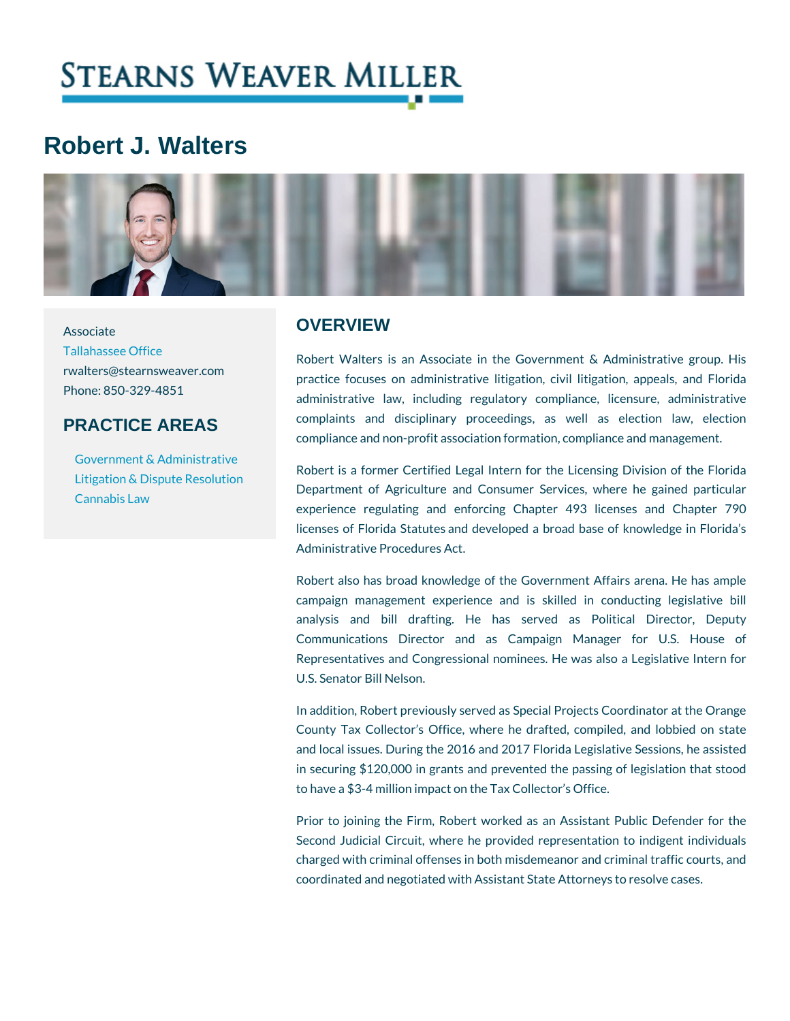# Robert J. Walters

Associate

## **OVERVIEW**

[Tallahassee](https://www.stearnsweaver.com/offices/tallahassee/) Office rwalters@stearnsweaver.com<br>practice focuses on administrative litigation, civil I Phone: 850-329-4851 PRACTICE AREAS Robert Walters is an Associate in the Government administrative law, including regulatory compliance complaints and disciplinary proceedings, as well compliance and non-profit association formation, compl

[Government & Adm](https://www.stearnsweaver.com/practices/government-administrative-law/)inistrative [Litigation & Dispute](https://www.stearnsweaver.com/practices/litigation-dispute-resolution/) Reso [Cannabis](https://www.stearnsweaver.com/practices/cannabis-law/) Law Robert is a former Certified Legal Intern for the Lice Department of Agriculture and Consumer Services,

experience regulating and enforcing Chapter 493 licenses of Florida Statutes and developed a broad b Administrative Procedures Act.

Robert also has broad knowledge of the Government. campaign management experience and is skilled i analysis and bill drafting. He has served as Communications Director and as Campaign Mar Representatives and Congressional nominees. He was U.S. Senator Bill Nelson.

In addition, Robert previously served as Special Project County Tax Collector s Office, where he drafted, co and local issues. During the 2016 and 2017 Florida Leg in securing \$120,000 in grants and prevented the pas to have a \$3-4 million impact on the Tax Collector s Off

Prior to joining the Firm, Robert worked as an Assis Second Judicial Circuit, where he provided represent charged with criminal offenses in both misdemeanor an coordinated and negotiated with Assistant State Attorne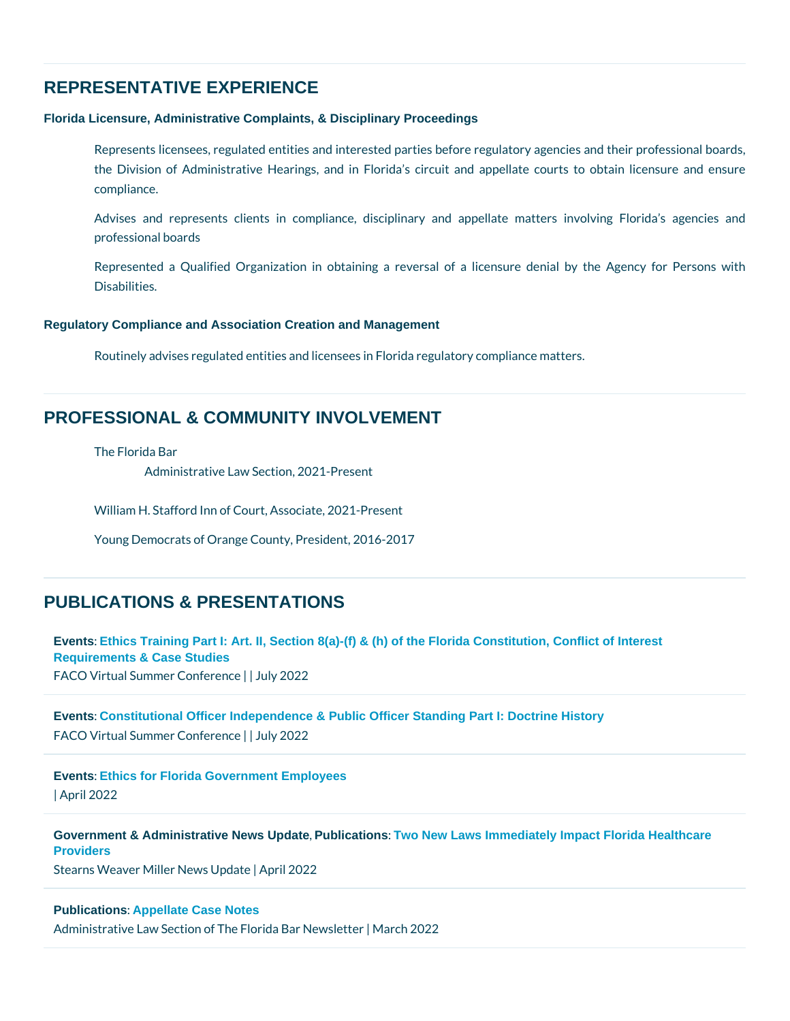# REPRESENTATIVE EXPERIENCE

Florida Licensure, Administrative Complaints, & Disciplinary Proceedings

Represents licensees, regulated entities and interested parties before regula the Division of Administrative Hearings, and in Florida s circuit and appellate courts to obtain line and ensure compliance.

Advises and represents clients in compliance, disciplinary and appellat professional boards

Represented a Qualified Organization in obtaining a reversal of a licens Disabilities.

Regulatory Compliance and Association Creation and Management

Routinely advises regulated entities and licensees in Florida regulatory compl

### PROFESSIONAL & COMMUNITY INVOLVEMENT

The Florida Bar

Administrative Law Section, 2021-Present

William H. Stafford Inn of Court, Associate, 2021-Present

Young Democrats of Orange County, President, 2016-2017

## PUBLICATIONS & PRESENTATIONS

[Events](/blog/category/events/) [: Ethics Training Part I: Art. II, Section 8\(a\)-\(f\) & \(h\) of the Florida Constitution, Conflict of Interest](https://www.floridaconstitutionalofficers.com/events.html)  [Requirements & Case Studies](https://www.floridaconstitutionalofficers.com/events.html) FACO Virtual Summer | Committee r2e0n2c2e

[Events](/blog/category/events/) [: Constitutional Officer Independence & Public Officer Standing Part I: Doctrine History](https://www.floridaconstitutionalofficers.com/events.html) FACO Virtual Summer | Columity crae 0222

[Events](/blog/category/events/) [: Ethics for Florida Government Employees](https://www.floridaconstitutionalofficers.com/events.html) | April 2022

[Government & Administrative News Update](/blog/category/government-administrative-news-updates/) Publications : Two New Laws Immediately Impact Florida Healthcare **[Providers](https://conta.cc/3JnefZi)** Stearns Weaver Miller News I U2p0d2a2te

[Publications](/blog/category/publications/) [: Appellate Case Notes](https://flaadminlaw.org/wp-content/uploads/2022/04/ADM-Newsletter-3-22.pdf)  Administrative Law Section of The FilMaidcah B2a0r2 & lewsletter